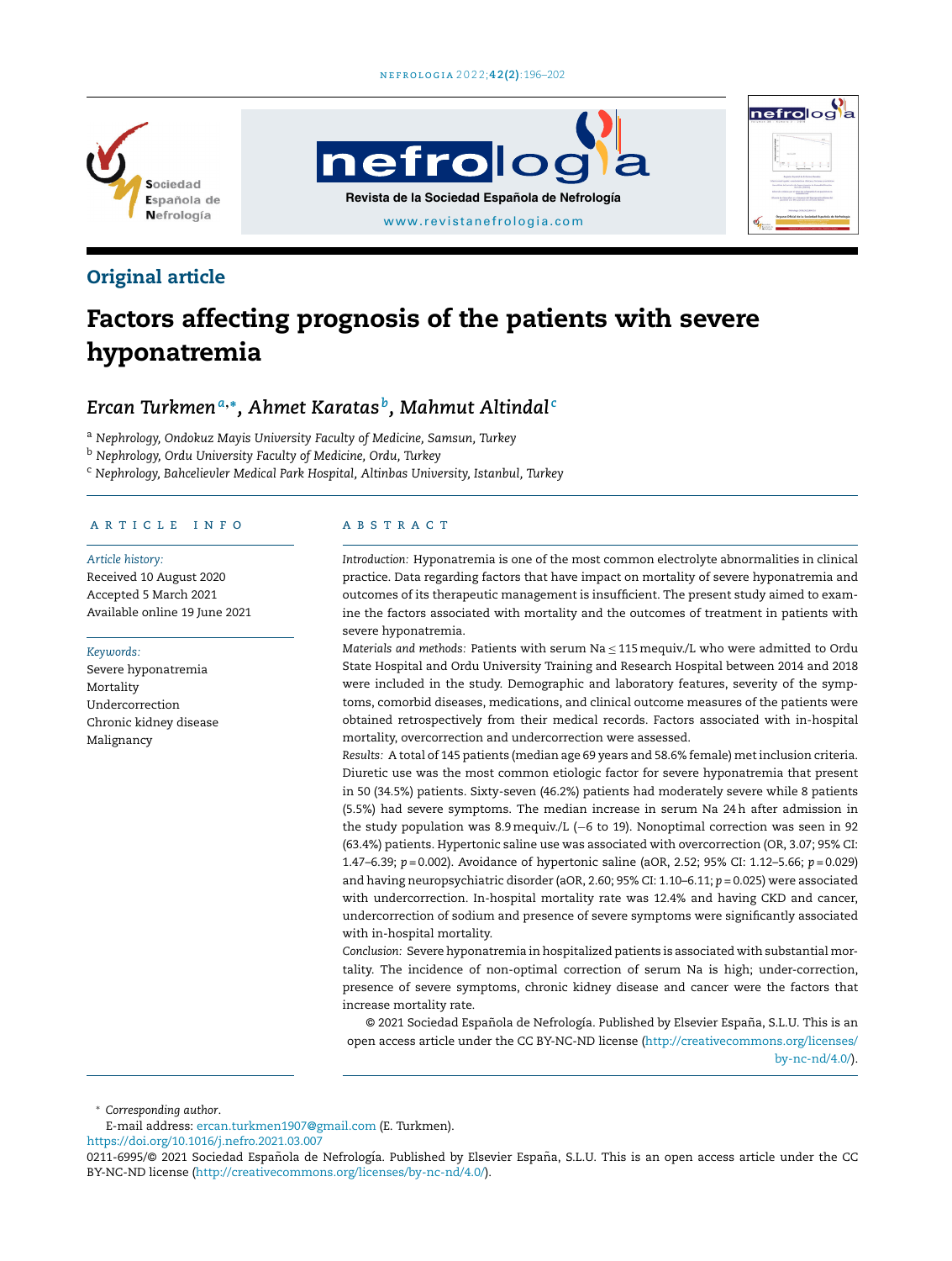





### Original article

# Factors affecting prognosis of the patients with severe hyponatremia

## *Ercan Turkmen<sup>a</sup>*,<sup>∗</sup> *, Ahmet Karatas <sup>b</sup> , Mahmut Altindal <sup>c</sup>*

<sup>a</sup> *Nephrology, Ondokuz Mayis University Faculty of Medicine, Samsun, Turkey*

<sup>b</sup> *Nephrology, Ordu University Faculty of Medicine, Ordu, Turkey*

<sup>c</sup> *Nephrology, Bahcelievler Medical Park Hospital, Altinbas University, Istanbul, Turkey*

#### ARTICLE INFO

#### *Article history:*

Received 10 August 2020 Accepted 5 March 2021 Available online 19 June 2021

#### *Keywords:*

Severe hyponatremia Mortality Undercorrection Chronic kidney disease Malignancy

#### a b s t r a c t

*Introduction:* Hyponatremia is one of the most common electrolyte abnormalities in clinical practice. Data regarding factors that have impact on mortality of severe hyponatremia and outcomes of its therapeutic management is insufficient. The present study aimed to examine the factors associated with mortality and the outcomes of treatment in patients with severe hyponatremia.

*Materials and methods:* Patients with serum Na ≤ 115mequiv./L who were admitted to Ordu State Hospital and Ordu University Training and Research Hospital between 2014 and 2018 were included in the study. Demographic and laboratory features, severity of the symptoms, comorbid diseases, medications, and clinical outcome measures of the patients were obtained retrospectively from their medical records. Factors associated with in-hospital mortality, overcorrection and undercorrection were assessed.

*Results:* A total of 145 patients (median age 69 years and 58.6% female) met inclusion criteria. Diuretic use was the most common etiologic factor for severe hyponatremia that present in 50 (34.5%) patients. Sixty-seven (46.2%) patients had moderately severe while 8 patients (5.5%) had severe symptoms. The median increase in serum Na 24h after admission in the study population was 8.9mequiv./L (−6 to 19). Nonoptimal correction was seen in 92 (63.4%) patients. Hypertonic saline use was associated with overcorrection (OR, 3.07; 95% CI: 1.47–6.39; *p* = 0.002). Avoidance of hypertonic saline (aOR, 2.52; 95% CI: 1.12–5.66; *p* = 0.029) and having neuropsychiatric disorder (aOR, 2.60; 95% CI: 1.10–6.11; *p* = 0.025) were associated with undercorrection. In-hospital mortality rate was 12.4% and having CKD and cancer, undercorrection of sodium and presence of severe symptoms were significantly associated with in-hospital mortality.

*Conclusion:* Severe hyponatremia in hospitalized patients is associated with substantial mortality. The incidence of non-optimal correction of serum Na is high; under-correction, presence of severe symptoms, chronic kidney disease and cancer were the factors that increase mortality rate.

© 2021 Sociedad Española de Nefrología. Published by Elsevier España, S.L.U. This is an open access article under the CC BY-NC-ND license ([http://creativecommons.org/licenses/](http://creativecommons.org/licenses/by-nc-nd/4.0/) [by-nc-nd/4.0/](http://creativecommons.org/licenses/by-nc-nd/4.0/)).

<sup>∗</sup> *Corresponding author*.

E-mail address: [ercan.turkmen1907@gmail.com](mailto:ercan.turkmen1907@gmail.com) (E. Turkmen).

<https://doi.org/10.1016/j.nefro.2021.03.007>

<sup>0211-6995/© 2021</sup> Sociedad Española de Nefrología. Published by Elsevier España, S.L.U. This is an open access article under the CC BY-NC-ND license [\(http://creativecommons.org/licenses/by-nc-nd/4.0/](http://creativecommons.org/licenses/by-nc-nd/4.0/)).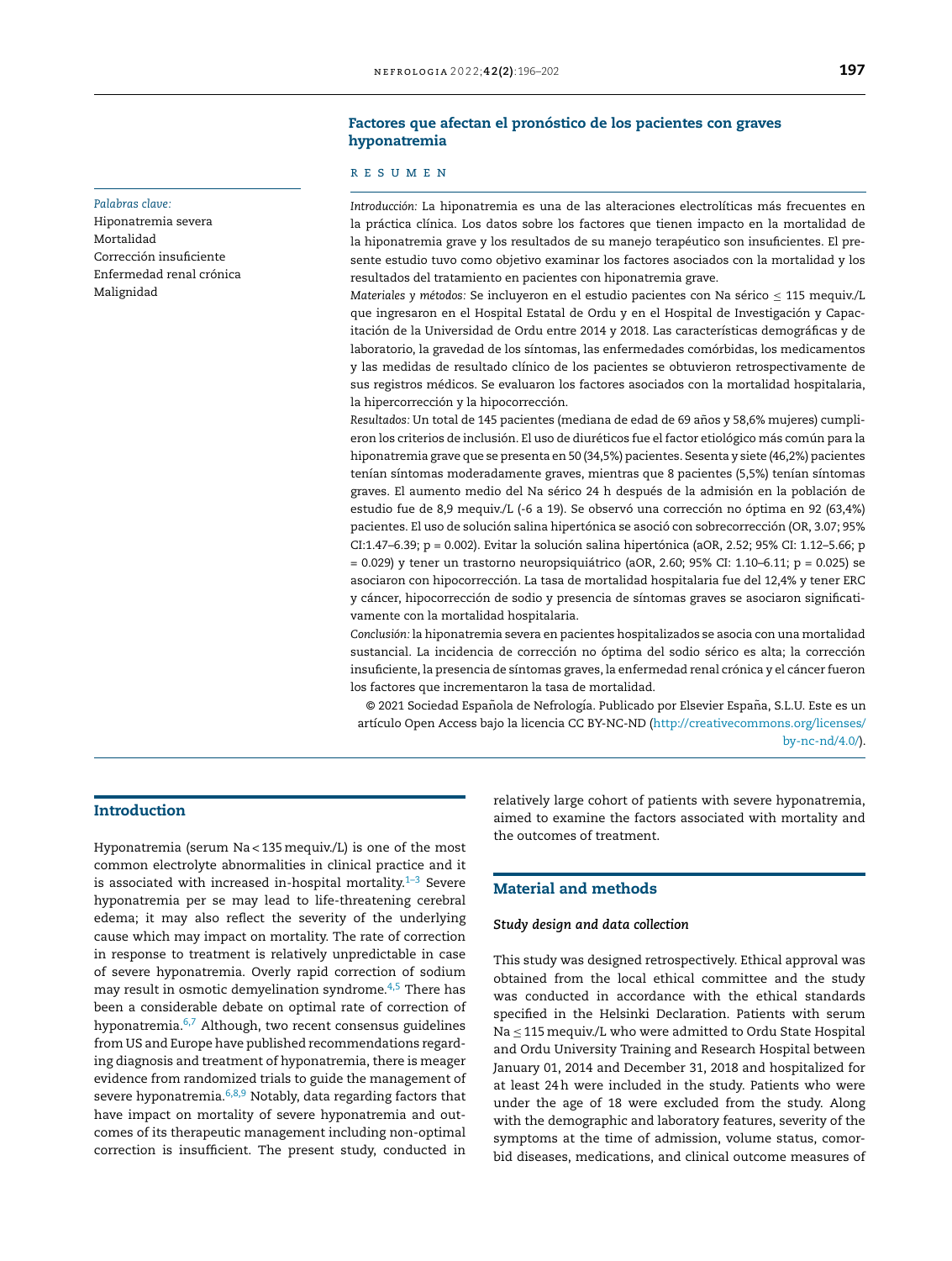#### Factores que afectan el pronóstico de los pacientes con graves hyponatremia

#### r e s u m e n

*Introducción:* La hiponatremia es una de las alteraciones electrolíticas más frecuentes en la práctica clínica. Los datos sobre los factores que tienen impacto en la mortalidad de la hiponatremia grave y los resultados de su manejo terapéutico son insuficientes. El presente estudio tuvo como objetivo examinar los factores asociados con la mortalidad y los resultados del tratamiento en pacientes con hiponatremia grave.

*Materiales y métodos:* Se incluyeron en el estudio pacientes con Na sérico ≤ 115 mequiv./L que ingresaron en el Hospital Estatal de Ordu y en el Hospital de Investigación y Capacitación de la Universidad de Ordu entre 2014 y 2018. Las características demográficas y de laboratorio, la gravedad de los síntomas, las enfermedades comórbidas, los medicamentos y las medidas de resultado clínico de los pacientes se obtuvieron retrospectivamente de sus registros médicos. Se evaluaron los factores asociados con la mortalidad hospitalaria, la hipercorrección y la hipocorrección.

*Resultados:* Un total de 145 pacientes (mediana de edad de 69 años y 58,6% mujeres) cumplieron los criterios de inclusión. El uso de diuréticos fue el factor etiológico más común para la hiponatremia grave que se presenta en 50 (34,5%) pacientes. Sesenta y siete (46,2%) pacientes tenían síntomas moderadamente graves, mientras que 8 pacientes (5,5%) tenían síntomas graves. El aumento medio del Na sérico 24 h después de la admisión en la población de estudio fue de 8,9 mequiv./L (-6 a 19). Se observó una corrección no óptima en 92 (63,4%) pacientes. El uso de solución salina hipertónica se asoció con sobrecorrección (OR, 3.07; 95% CI:1.47–6.39; p = 0.002). Evitar la solución salina hipertónica (aOR, 2.52; 95% CI: 1.12–5.66; p  $= 0.029$ ) y tener un trastorno neuropsiquiátrico (aOR, 2.60; 95% CI: 1.10–6.11; p = 0.025) se asociaron con hipocorrección. La tasa de mortalidad hospitalaria fue del 12,4% y tener ERC y cáncer, hipocorrección de sodio y presencia de síntomas graves se asociaron significativamente con la mortalidad hospitalaria.

*Conclusión:* la hiponatremia severa en pacientes hospitalizados se asocia con una mortalidad sustancial. La incidencia de corrección no óptima del sodio sérico es alta; la corrección insuficiente, la presencia de síntomas graves, la enfermedad renal crónica y el cáncer fueron los factores que incrementaron la tasa de mortalidad.

© 2021 Sociedad Española de Nefrología. Publicado por Elsevier España, S.L.U. Este es un artículo Open Access bajo la licencia CC BY-NC-ND ([http://creativecommons.org/licenses/](http://creativecommons.org/licenses/by-nc-nd/4.0/) [by-nc-nd/4.0/](http://creativecommons.org/licenses/by-nc-nd/4.0/)).

### Introduction

*Palabras clave:* Hiponatremia severa

Mortalidad

Malignidad

Corrección insuficiente Enfermedad renal crónica

Hyponatremia (serum Na < 135mequiv./L) is one of the most common electrolyte abnormalities in clinical practice and it is associated with increased in-hospital mortality. $1-3$  Severe hyponatremia per se may lead to life-threatening cerebral edema; it may also reflect the severity of the underlying cause which may impact on mortality. The rate of correction in response to treatment is relatively unpredictable in case of severe hyponatremia. Overly rapid correction of sodium may result in osmotic demyelination syndrome.[4,5](#page-5-0) There has been a considerable debate on optimal rate of correction of hyponatremia.<sup>[6,7](#page-5-0)</sup> Although, two recent consensus guidelines from US and Europe have published recommendations regarding diagnosis and treatment of hyponatremia, there is meager evidence from randomized trials to guide the management of severe hyponatremia. $6,8,9$  Notably, data regarding factors that have impact on mortality of severe hyponatremia and outcomes of its therapeutic management including non-optimal correction is insufficient. The present study, conducted in

relatively large cohort of patients with severe hyponatremia, aimed to examine the factors associated with mortality and the outcomes of treatment.

#### Material and methods

#### *Study design and data collection*

This study was designed retrospectively. Ethical approval was obtained from the local ethical committee and the study was conducted in accordance with the ethical standards specified in the Helsinki Declaration. Patients with serum Na ≤ 115mequiv./L who were admitted to Ordu State Hospital and Ordu University Training and Research Hospital between January 01, 2014 and December 31, 2018 and hospitalized for at least 24h were included in the study. Patients who were under the age of 18 were excluded from the study. Along with the demographic and laboratory features, severity of the symptoms at the time of admission, volume status, comorbid diseases, medications, and clinical outcome measures of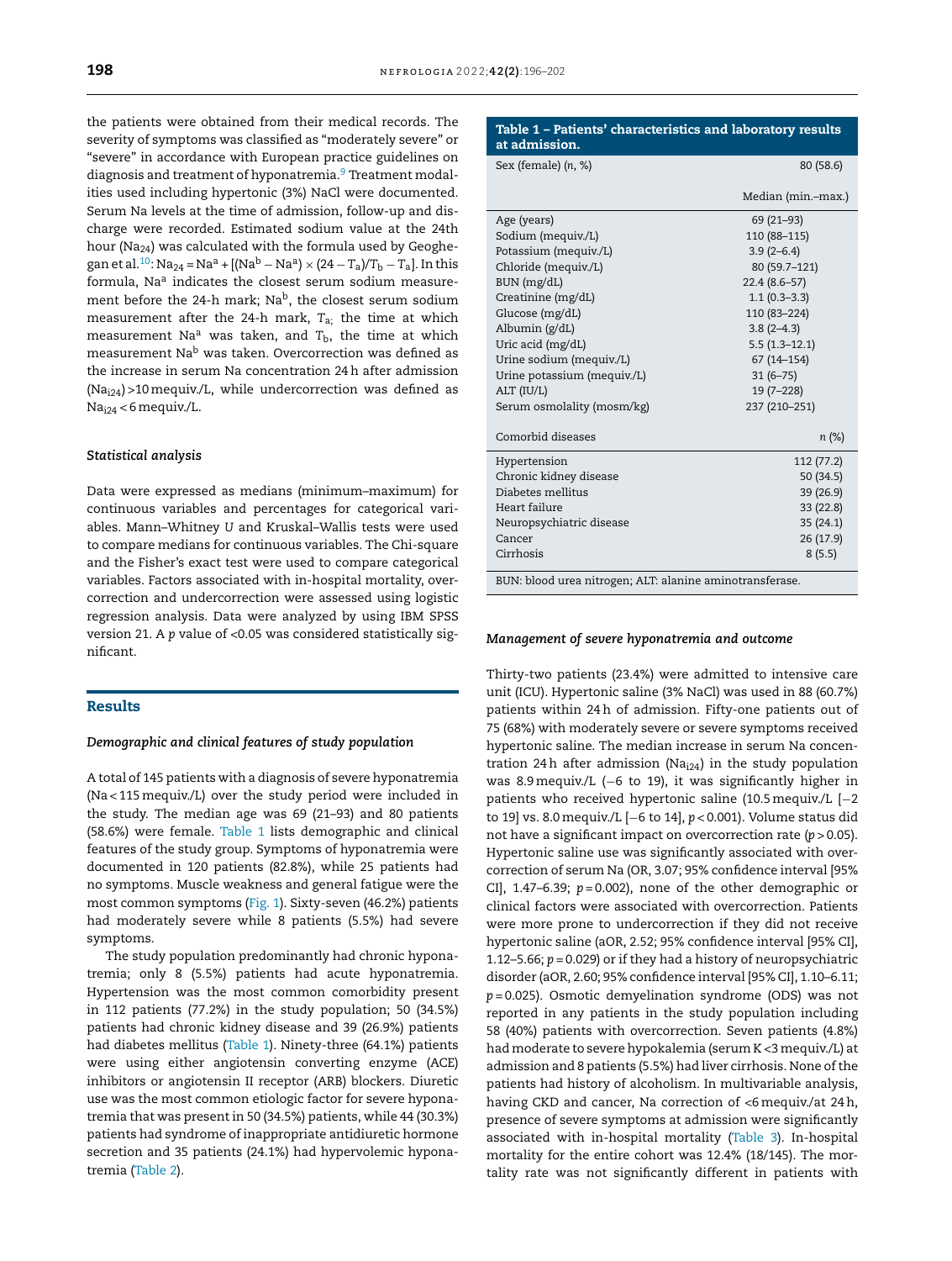the patients were obtained from their medical records. The severity of symptoms was classified as "moderately severe" or "severe" in accordance with European practice guidelines on diagnosis and treatment of hyponatremia.<sup>[9](#page-5-0)</sup> Treatment modalities used including hypertonic (3%) NaCl were documented. Serum Na levels at the time of admission, follow-up and discharge were recorded. Estimated sodium value at the 24th hour (Na24) was calculated with the formula used by Geoghe-gan et al.<sup>[10](#page-5-0)</sup>: Na<sub>24</sub> = Na<sup>a</sup> + [(Na<sup>b</sup> − Na<sup>a</sup>) × (24 − T<sub>a</sub>)/T<sub>b</sub> − T<sub>a</sub>]. In this formula, Na<sup>a</sup> indicates the closest serum sodium measurement before the 24-h mark; Na<sup>b</sup>, the closest serum sodium measurement after the 24-h mark, *T*a; the time at which measurement Na<sup>a</sup> was taken, and  $T<sub>b</sub>$ , the time at which measurement Na<sup>b</sup> was taken. Overcorrection was defined as the increase in serum Na concentration 24h after admission  $(Na<sub>i24</sub>) > 10$  mequiv./L, while undercorrection was defined as Nai24 < 6 mequiv./L.

#### *Statistical analysis*

Data were expressed as medians (minimum–maximum) for continuous variables and percentages for categorical variables. Mann–Whitney *U* and Kruskal–Wallis tests were used to compare medians for continuous variables. The Chi-square and the Fisher's exact test were used to compare categorical variables. Factors associated with in-hospital mortality, overcorrection and undercorrection were assessed using logistic regression analysis. Data were analyzed by using IBM SPSS version 21. A *p* value of <0.05 was considered statistically significant.

#### Results

#### *Demographic and clinical features of study population*

A total of 145 patients with a diagnosis of severe hyponatremia (Na < 115mequiv./L) over the study period were included in the study. The median age was 69 (21–93) and 80 patients (58.6%) were female. Table 1 lists demographic and clinical features of the study group. Symptoms of hyponatremia were documented in 120 patients (82.8%), while 25 patients had no symptoms. Muscle weakness and general fatigue were the most common symptoms ([Fig.](#page-3-0) 1). Sixty-seven (46.2%) patients had moderately severe while 8 patients (5.5%) had severe symptoms.

The study population predominantly had chronic hyponatremia; only 8 (5.5%) patients had acute hyponatremia. Hypertension was the most common comorbidity present in 112 patients (77.2%) in the study population; 50 (34.5%) patients had chronic kidney disease and 39 (26.9%) patients had diabetes mellitus (Table 1). Ninety-three (64.1%) patients were using either angiotensin converting enzyme (ACE) inhibitors or angiotensin II receptor (ARB) blockers. Diuretic use was the most common etiologic factor for severe hyponatremia that was present in 50 (34.5%) patients, while 44 (30.3%) patients had syndrome of inappropriate antidiuretic hormone secretion and 35 patients (24.1%) had hypervolemic hyponatremia ([Table](#page-3-0) 2).

| Table 1 - Patients' characteristics and laboratory results<br>at admission. |                    |  |  |
|-----------------------------------------------------------------------------|--------------------|--|--|
| Sex (female) (n, %)                                                         | 80 (58.6)          |  |  |
|                                                                             | Median (min.-max.) |  |  |
| Age (years)                                                                 | 69 (21-93)         |  |  |
| Sodium (mequiv./L)                                                          | 110 (88-115)       |  |  |
| Potassium (mequiv./L)                                                       | $3.9(2-6.4)$       |  |  |
| Chloride (mequiv./L)                                                        | 80 (59.7-121)      |  |  |
| BUN (mg/dL)                                                                 | $22.4(8.6-57)$     |  |  |
| Creatinine (mg/dL)                                                          | $1.1(0.3-3.3)$     |  |  |
| Glucose (mg/dL)                                                             | 110 (83-224)       |  |  |
| Albumin (g/dL)                                                              | $3.8(2-4.3)$       |  |  |
| Uric acid (mg/dL)                                                           | $5.5(1.3-12.1)$    |  |  |
| Urine sodium (mequiv./L)                                                    | $67(14 - 154)$     |  |  |
| Urine potassium (mequiv./L)                                                 | $31(6 - 75)$       |  |  |
| ALT (IU/L)                                                                  | $19(7-228)$        |  |  |
| Serum osmolality (mosm/kg)                                                  | 237 (210-251)      |  |  |
| Comorbid diseases                                                           | n (%)              |  |  |
| Hypertension                                                                | 112 (77.2)         |  |  |
| Chronic kidney disease                                                      | 50(34.5)           |  |  |
| Diabetes mellitus                                                           | 39 (26.9)          |  |  |
| Heart failure                                                               | 33 (22.8)          |  |  |
| Neuropsychiatric disease                                                    | 35(24.1)           |  |  |
| Cancer                                                                      | 26 (17.9)          |  |  |
| Cirrhosis                                                                   | 8(5.5)             |  |  |
| BUN: blood urea nitrogen; ALT: alanine aminotransferase.                    |                    |  |  |

#### *Management of severe hyponatremia and outcome*

Thirty-two patients (23.4%) were admitted to intensive care unit (ICU). Hypertonic saline (3% NaCl) was used in 88 (60.7%) patients within 24h of admission. Fifty-one patients out of 75 (68%) with moderately severe or severe symptoms received hypertonic saline. The median increase in serum Na concentration 24h after admission (Na $_{124}$ ) in the study population was 8.9 mequiv./L (−6 to 19), it was significantly higher in patients who received hypertonic saline (10.5mequiv./L [−2 to 19] vs. 8.0mequiv./L [−6 to 14], *p* < 0.001). Volume status did not have a significant impact on overcorrection rate (*p* > 0.05). Hypertonic saline use was significantly associated with overcorrection of serum Na (OR, 3.07; 95% confidence interval [95% CI], 1.47–6.39; *p* = 0.002), none of the other demographic or clinical factors were associated with overcorrection. Patients were more prone to undercorrection if they did not receive hypertonic saline (aOR, 2.52; 95% confidence interval [95% CI], 1.12–5.66; *p* = 0.029) or if they had a history of neuropsychiatric disorder (aOR, 2.60; 95% confidence interval [95% CI], 1.10–6.11; *p* = 0.025). Osmotic demyelination syndrome (ODS) was not reported in any patients in the study population including 58 (40%) patients with overcorrection. Seven patients (4.8%) had moderate to severe hypokalemia (serum K <3 mequiv./L) at admission and 8 patients (5.5%) had liver cirrhosis. None of the patients had history of alcoholism. In multivariable analysis, having CKD and cancer, Na correction of <6mequiv./at 24h, presence of severe symptoms at admission were significantly associated with in-hospital mortality [\(Table](#page-3-0) 3). In-hospital mortality for the entire cohort was 12.4% (18/145). The mortality rate was not significantly different in patients with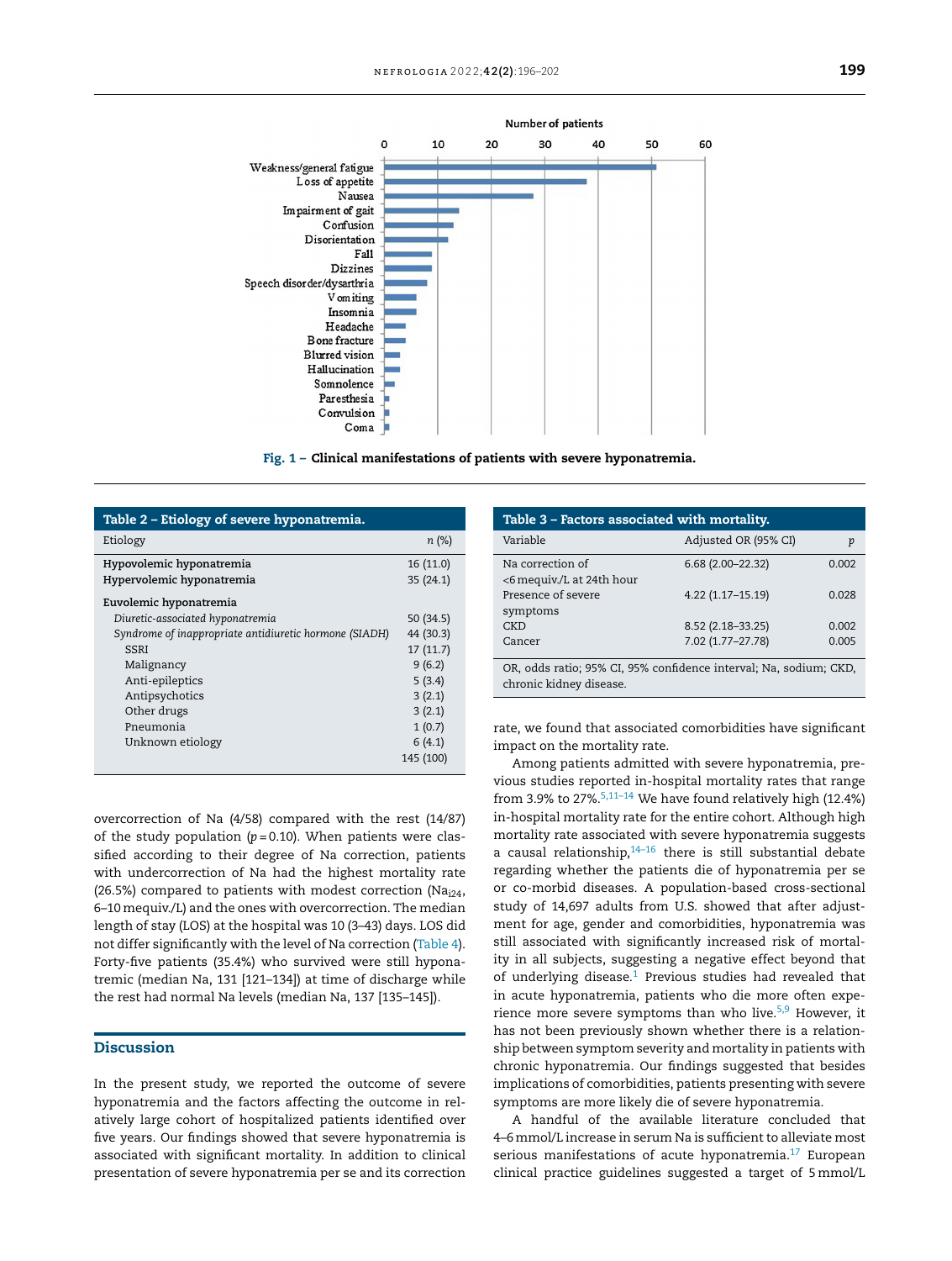<span id="page-3-0"></span>

Fig. 1 – Clinical manifestations of patients with severe hyponatremia.

| Table 2 – Etiology of severe hyponatremia.             |           |  |  |  |
|--------------------------------------------------------|-----------|--|--|--|
| Etiology                                               | n(%)      |  |  |  |
| Hypovolemic hyponatremia                               | 16 (11.0) |  |  |  |
| Hypervolemic hyponatremia                              | 35(24.1)  |  |  |  |
| Euvolemic hyponatremia                                 |           |  |  |  |
| Diuretic-associated hyponatremia                       | 50 (34.5) |  |  |  |
| Syndrome of inappropriate antidiuretic hormone (SIADH) | 44 (30.3) |  |  |  |
| <b>SSRI</b>                                            | 17(11.7)  |  |  |  |
| Malignancy                                             | 9(6.2)    |  |  |  |
| Anti-epileptics                                        | 5(3.4)    |  |  |  |
| Antipsychotics                                         | 3(2.1)    |  |  |  |
| Other drugs                                            | 3(2.1)    |  |  |  |
| Pneumonia                                              | 1(0.7)    |  |  |  |
| Unknown etiology                                       | 6(4.1)    |  |  |  |
|                                                        | 145 (100) |  |  |  |

| Table 3 – Factors associated with mortality.                                                 |                      |       |  |  |  |
|----------------------------------------------------------------------------------------------|----------------------|-------|--|--|--|
| Variable                                                                                     | Adjusted OR (95% CI) | p     |  |  |  |
| Na correction of<br><6 mequiv./L at 24th hour                                                | $6.68(2.00-22.32)$   | 0.002 |  |  |  |
| Presence of severe<br>symptoms                                                               | 4.22 (1.17-15.19)    | 0.028 |  |  |  |
| CKD                                                                                          | 8.52 (2.18-33.25)    | 0.002 |  |  |  |
| Cancer                                                                                       | 7.02 (1.77-27.78)    | 0.005 |  |  |  |
| OR, odds ratio; 95% CI, 95% confidence interval; Na, sodium; CKD,<br>chronic kidney disease. |                      |       |  |  |  |

rate, we found that associated comorbidities have significant impact on the mortality rate.

overcorrection of Na (4/58) compared with the rest (14/87) of the study population  $(p=0.10)$ . When patients were classified according to their degree of Na correction, patients with undercorrection of Na had the highest mortality rate (26.5%) compared to patients with modest correction (Na<sub>i24</sub>, 6–10mequiv./L) and the ones with overcorrection. The median length of stay (LOS) at the hospital was 10 (3–43) days. LOS did not differ significantly with the level of Na correction ([Table](#page-4-0) 4). Forty-five patients (35.4%) who survived were still hyponatremic (median Na, 131 [121–134]) at time of discharge while the rest had normal Na levels (median Na, 137 [135–145]).

#### Discussion

In the present study, we reported the outcome of severe hyponatremia and the factors affecting the outcome in relatively large cohort of hospitalized patients identified over five years. Our findings showed that severe hyponatremia is associated with significant mortality. In addition to clinical presentation of severe hyponatremia per se and its correction

Among patients admitted with severe hyponatremia, previous studies reported in-hospital mortality rates that range from 3.9% to 27%. $5,11-14$  We have found relatively high (12.4%) in-hospital mortality rate for the entire cohort. Although high mortality rate associated with severe hyponatremia suggests a causal relationship, $14-16$  there is still substantial debate regarding whether the patients die of hyponatremia per se or co-morbid diseases. A population-based cross-sectional study of 14,697 adults from U.S. showed that after adjustment for age, gender and comorbidities, hyponatremia was still associated with significantly increased risk of mortality in all subjects, suggesting a negative effect beyond that of underlying disease. $1$  Previous studies had revealed that in acute hyponatremia, patients who die more often experience more severe symptoms than who live. $5,9$  However, it has not been previously shown whether there is a relationship between symptom severity and mortality in patients with chronic hyponatremia. Our findings suggested that besides implications of comorbidities, patients presenting with severe symptoms are more likely die of severe hyponatremia.

A handful of the available literature concluded that 4–6mmol/L increase in serum Na is sufficient to alleviate most serious manifestations of acute hyponatremia.<sup>[17](#page-5-0)</sup> European clinical practice guidelines suggested a target of 5mmol/L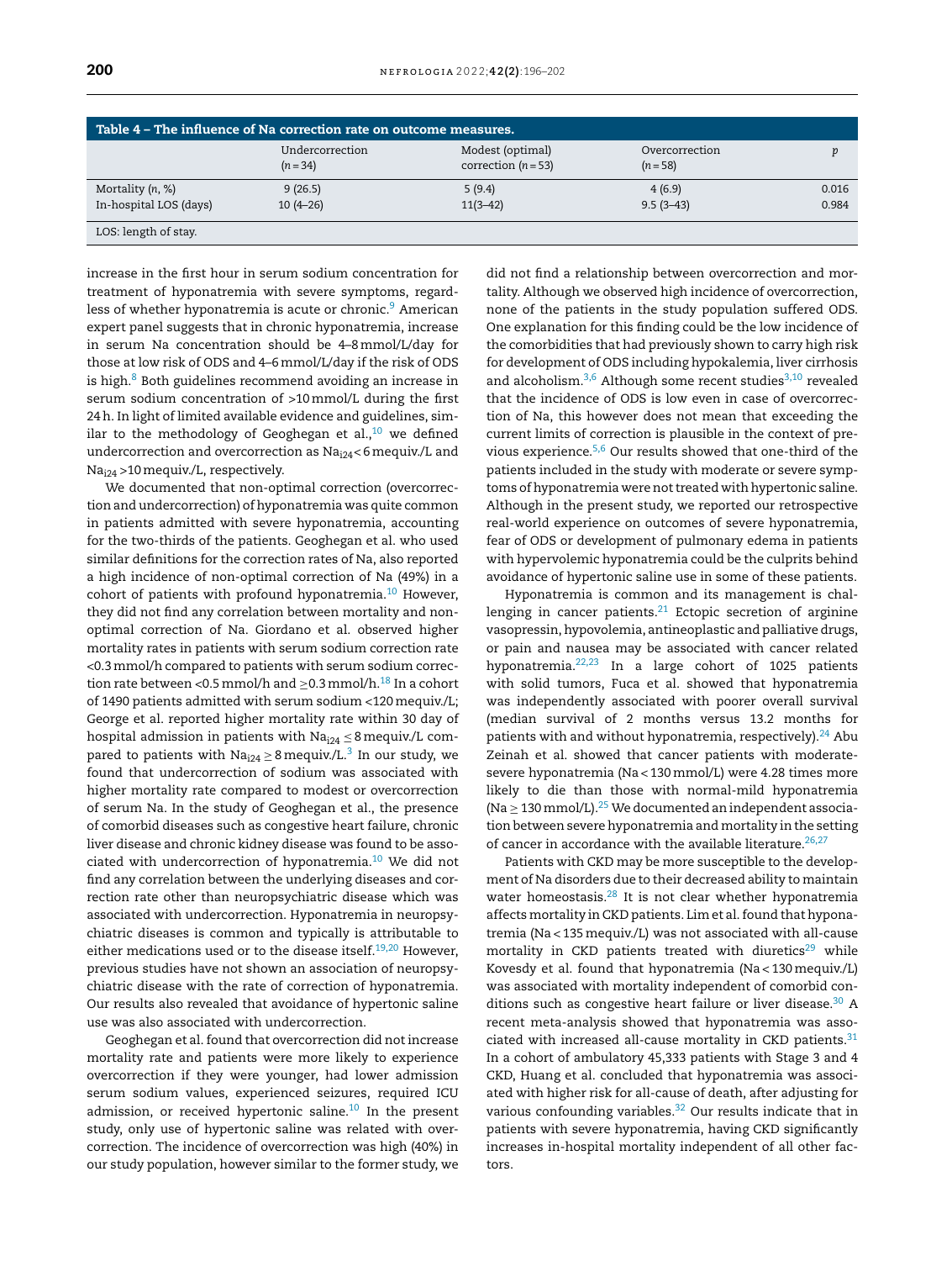<span id="page-4-0"></span>

| Table 4 - The influence of Na correction rate on outcome measures. |                               |                                           |                              |                |  |  |
|--------------------------------------------------------------------|-------------------------------|-------------------------------------------|------------------------------|----------------|--|--|
|                                                                    | Undercorrection<br>$(n = 34)$ | Modest (optimal)<br>correction $(n = 53)$ | Overcorrection<br>$(n = 58)$ |                |  |  |
| Mortality $(n, %)$<br>In-hospital LOS (days)                       | 9(26.5)<br>$10(4-26)$         | 5(9.4)<br>$11(3-42)$                      | 4(6.9)<br>$9.5(3-43)$        | 0.016<br>0.984 |  |  |
| LOS: length of stay.                                               |                               |                                           |                              |                |  |  |

increase in the first hour in serum sodium concentration for treatment of hyponatremia with severe symptoms, regard-less of whether hyponatremia is acute or chronic.<sup>[9](#page-5-0)</sup> American expert panel suggests that in chronic hyponatremia, increase in serum Na concentration should be 4–8mmol/L/day for those at low risk of ODS and 4–6mmol/L/day if the risk of ODS is high. $8$  Both guidelines recommend avoiding an increase in serum sodium concentration of >10mmol/L during the first 24h. In light of limited available evidence and guidelines, similar to the methodology of Geoghegan et al., $^{10}$  $^{10}$  $^{10}$  we defined undercorrection and overcorrection as Na<sub>i24</sub><6 mequiv./L and Nai24 >10mequiv./L, respectively.

We documented that non-optimal correction (overcorrection and undercorrection) of hyponatremia was quite common in patients admitted with severe hyponatremia, accounting for the two-thirds of the patients. Geoghegan et al. who used similar definitions for the correction rates of Na, also reported a high incidence of non-optimal correction of Na (49%) in a cohort of patients with profound hyponatremia.<sup>[10](#page-5-0)</sup> However, they did not find any correlation between mortality and nonoptimal correction of Na. Giordano et al. observed higher mortality rates in patients with serum sodium correction rate <0.3mmol/h compared to patients with serum sodium correction rate between <0.5 mmol/h and  $\geq$ 0.3 mmol/h.<sup>[18](#page-5-0)</sup> In a cohort of 1490 patients admitted with serum sodium <120mequiv./L; George et al. reported higher mortality rate within 30 day of hospital admission in patients with  $Na<sub>124</sub> \leq 8$  mequiv./L compared to patients with Na $_{\rm i24}$   $\geq$  8 mequiv./L. $^3$  $^3$  In our study, we found that undercorrection of sodium was associated with higher mortality rate compared to modest or overcorrection of serum Na. In the study of Geoghegan et al., the presence of comorbid diseases such as congestive heart failure, chronic liver disease and chronic kidney disease was found to be asso-ciated with undercorrection of hyponatremia.<sup>[10](#page-5-0)</sup> We did not find any correlation between the underlying diseases and correction rate other than neuropsychiatric disease which was associated with undercorrection. Hyponatremia in neuropsychiatric diseases is common and typically is attributable to either medications used or to the disease itself.<sup>[19,20](#page-6-0)</sup> However, previous studies have not shown an association of neuropsychiatric disease with the rate of correction of hyponatremia. Our results also revealed that avoidance of hypertonic saline use was also associated with undercorrection.

Geoghegan et al. found that overcorrection did not increase mortality rate and patients were more likely to experience overcorrection if they were younger, had lower admission serum sodium values, experienced seizures, required ICU admission, or received hypertonic saline. $^{10}$  $^{10}$  $^{10}$  In the present study, only use of hypertonic saline was related with overcorrection. The incidence of overcorrection was high (40%) in our study population, however similar to the former study, we did not find a relationship between overcorrection and mortality. Although we observed high incidence of overcorrection, none of the patients in the study population suffered ODS. One explanation for this finding could be the low incidence of the comorbidities that had previously shown to carry high risk for development of ODS including hypokalemia, liver cirrhosis and alcoholism. $3,6$  Although some recent studies $3,10$  revealed that the incidence of ODS is low even in case of overcorrection of Na, this however does not mean that exceeding the current limits of correction is plausible in the context of previous experience.[5,6](#page-5-0) Our results showed that one-third of the patients included in the study with moderate or severe symptoms of hyponatremia were not treated with hypertonic saline. Although in the present study, we reported our retrospective real-world experience on outcomes of severe hyponatremia, fear of ODS or development of pulmonary edema in patients with hypervolemic hyponatremia could be the culprits behind avoidance of hypertonic saline use in some of these patients.

Hyponatremia is common and its management is challenging in cancer patients. $21$  Ectopic secretion of arginine vasopressin, hypovolemia, antineoplastic and palliative drugs, or pain and nausea may be associated with cancer related hyponatremia.[22,23](#page-6-0) In a large cohort of 1025 patients with solid tumors, Fuca et al. showed that hyponatremia was independently associated with poorer overall survival (median survival of 2 months versus 13.2 months for patients with and without hyponatremia, respectively).<sup>[24](#page-6-0)</sup> Abu Zeinah et al. showed that cancer patients with moderatesevere hyponatremia (Na < 130mmol/L) were 4.28 times more likely to die than those with normal-mild hyponatremia (Na  $\geq$  130 mmol/L).<sup>[25](#page-6-0)</sup> We documented an independent association between severe hyponatremia and mortality in the setting of cancer in accordance with the available literature.<sup>[26,27](#page-6-0)</sup>

Patients with CKD may be more susceptible to the development of Na disorders due to their decreased ability to maintain water homeostasis.<sup>[28](#page-6-0)</sup> It is not clear whether hyponatremia affects mortality in CKD patients. Lim et al. found that hyponatremia (Na < 135mequiv./L) was not associated with all-cause mortality in CKD patients treated with diuretics $29$  while Kovesdy et al. found that hyponatremia (Na < 130mequiv./L) was associated with mortality independent of comorbid con-ditions such as congestive heart failure or liver disease.<sup>[30](#page-6-0)</sup> A recent meta-analysis showed that hyponatremia was associated with increased all-cause mortality in CKD patients. $31$ In a cohort of ambulatory 45,333 patients with Stage 3 and 4 CKD, Huang et al. concluded that hyponatremia was associated with higher risk for all-cause of death, after adjusting for various confounding variables.<sup>[32](#page-6-0)</sup> Our results indicate that in patients with severe hyponatremia, having CKD significantly increases in-hospital mortality independent of all other factors.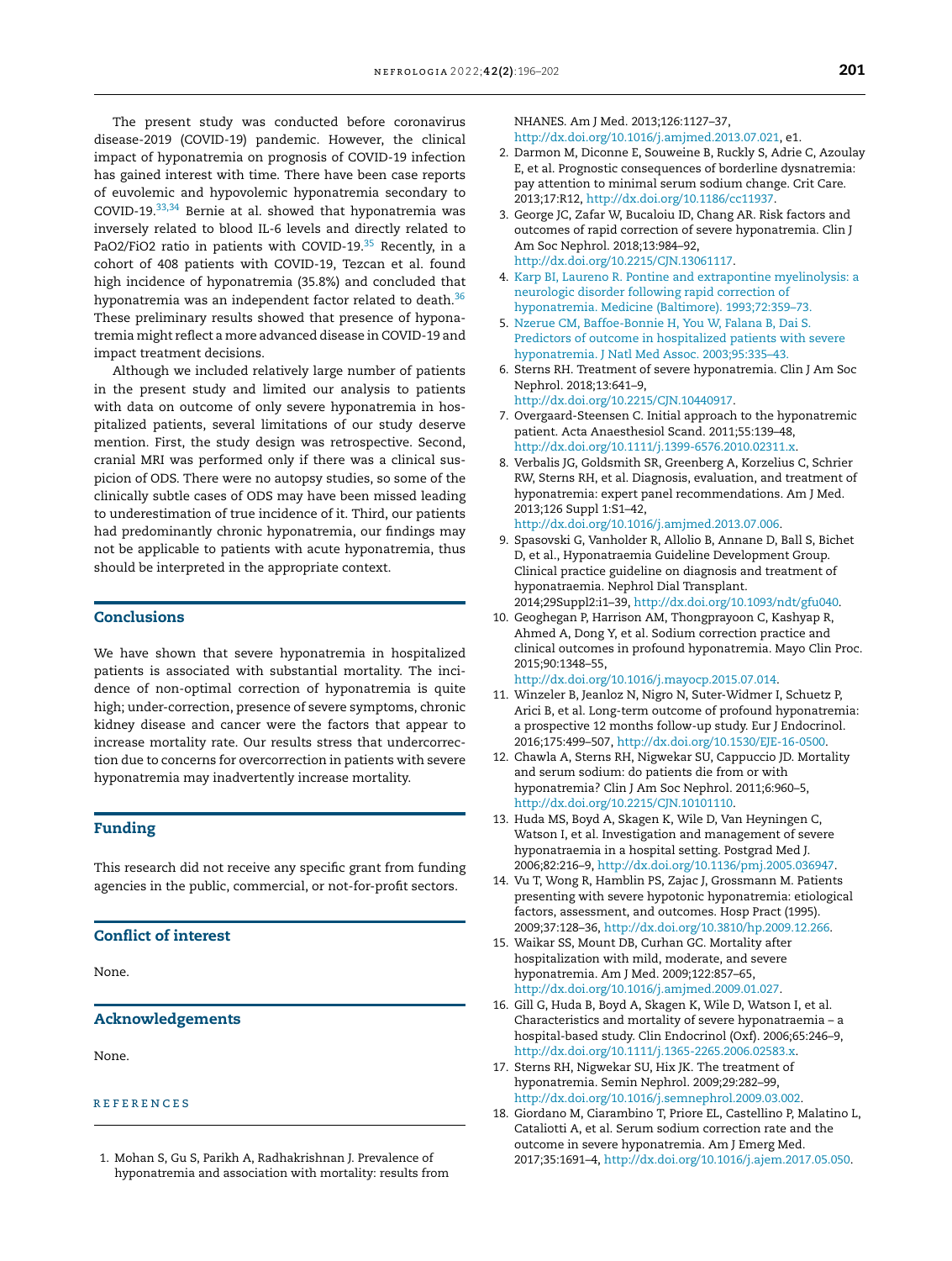<span id="page-5-0"></span>The present study was conducted before coronavirus disease-2019 (COVID-19) pandemic. However, the clinical impact of hyponatremia on prognosis of COVID-19 infection has gained interest with time. There have been case reports of euvolemic and hypovolemic hyponatremia secondary to COVID-19.[33,34](#page-6-0) Bernie at al. showed that hyponatremia was inversely related to blood IL-6 levels and directly related to PaO2/FiO2 ratio in patients with COVID-19.<sup>[35](#page-6-0)</sup> Recently, in a cohort of 408 patients with COVID-19, Tezcan et al. found high incidence of hyponatremia (35.8%) and concluded that hyponatremia was an independent factor related to death.<sup>[36](#page-6-0)</sup> These preliminary results showed that presence of hyponatremia might reflect a more advanced disease in COVID-19 and impact treatment decisions.

Although we included relatively large number of patients in the present study and limited our analysis to patients with data on outcome of only severe hyponatremia in hospitalized patients, several limitations of our study deserve mention. First, the study design was retrospective. Second, cranial MRI was performed only if there was a clinical suspicion of ODS. There were no autopsy studies, so some of the clinically subtle cases of ODS may have been missed leading to underestimation of true incidence of it. Third, our patients had predominantly chronic hyponatremia, our findings may not be applicable to patients with acute hyponatremia, thus should be interpreted in the appropriate context.

#### Conclusions

We have shown that severe hyponatremia in hospitalized patients is associated with substantial mortality. The incidence of non-optimal correction of hyponatremia is quite high; under-correction, presence of severe symptoms, chronic kidney disease and cancer were the factors that appear to increase mortality rate. Our results stress that undercorrection due to concerns for overcorrection in patients with severe hyponatremia may inadvertently increase mortality.

#### Funding

This research did not receive any specific grant from funding agencies in the public, commercial, or not-for-profit sectors.

#### Conflict of interest

None.

#### Acknowledgements

None.

#### **REFERENCES**

1. Mohan S, Gu S, Parikh A, Radhakrishnan J. Prevalence of hyponatremia and association with mortality: results from NHANES. Am J Med. 2013;126:1127–37, [http://dx.doi.org/10.1016/j.amjmed.2013.07.021,](dx.doi.org/10.1016/j.amjmed.2013.07.021) e1.

- 2. Darmon M, Diconne E, Souweine B, Ruckly S, Adrie C, Azoulay E, et al. Prognostic consequences of borderline dysnatremia: pay attention to minimal serum sodium change. Crit Care. 2013;17:R12, [http://dx.doi.org/10.1186/cc11937](dx.doi.org/10.1186/cc11937).
- 3. George JC, Zafar W, Bucaloiu ID, Chang AR. Risk factors and outcomes of rapid correction of severe hyponatremia. Clin J Am Soc Nephrol. 2018;13:984–92, [http://dx.doi.org/10.2215/CJN.13061117.](dx.doi.org/10.2215/CJN.13061117)
- 4. [Karp](http://refhub.elsevier.com/S0211-6995(21)00102-8/sbref0200) [BI,](http://refhub.elsevier.com/S0211-6995(21)00102-8/sbref0200) [Laureno](http://refhub.elsevier.com/S0211-6995(21)00102-8/sbref0200) [R.](http://refhub.elsevier.com/S0211-6995(21)00102-8/sbref0200) [Pontine](http://refhub.elsevier.com/S0211-6995(21)00102-8/sbref0200) [and](http://refhub.elsevier.com/S0211-6995(21)00102-8/sbref0200) [extrapontine](http://refhub.elsevier.com/S0211-6995(21)00102-8/sbref0200) [myelinolysis:](http://refhub.elsevier.com/S0211-6995(21)00102-8/sbref0200) [a](http://refhub.elsevier.com/S0211-6995(21)00102-8/sbref0200) [neurologic](http://refhub.elsevier.com/S0211-6995(21)00102-8/sbref0200) [disorder](http://refhub.elsevier.com/S0211-6995(21)00102-8/sbref0200) [following](http://refhub.elsevier.com/S0211-6995(21)00102-8/sbref0200) [rapid](http://refhub.elsevier.com/S0211-6995(21)00102-8/sbref0200) [correction](http://refhub.elsevier.com/S0211-6995(21)00102-8/sbref0200) [of](http://refhub.elsevier.com/S0211-6995(21)00102-8/sbref0200) [hyponatremia.](http://refhub.elsevier.com/S0211-6995(21)00102-8/sbref0200) [Medicine](http://refhub.elsevier.com/S0211-6995(21)00102-8/sbref0200) [\(Baltimore\).](http://refhub.elsevier.com/S0211-6995(21)00102-8/sbref0200) [1993;72:359–73.](http://refhub.elsevier.com/S0211-6995(21)00102-8/sbref0200)
- 5. [Nzerue](http://refhub.elsevier.com/S0211-6995(21)00102-8/sbref0205) [CM,](http://refhub.elsevier.com/S0211-6995(21)00102-8/sbref0205) [Baffoe-Bonnie](http://refhub.elsevier.com/S0211-6995(21)00102-8/sbref0205) [H,](http://refhub.elsevier.com/S0211-6995(21)00102-8/sbref0205) [You](http://refhub.elsevier.com/S0211-6995(21)00102-8/sbref0205) [W,](http://refhub.elsevier.com/S0211-6995(21)00102-8/sbref0205) [Falana](http://refhub.elsevier.com/S0211-6995(21)00102-8/sbref0205) [B,](http://refhub.elsevier.com/S0211-6995(21)00102-8/sbref0205) [Dai](http://refhub.elsevier.com/S0211-6995(21)00102-8/sbref0205) [S.](http://refhub.elsevier.com/S0211-6995(21)00102-8/sbref0205) [Predictors](http://refhub.elsevier.com/S0211-6995(21)00102-8/sbref0205) [of](http://refhub.elsevier.com/S0211-6995(21)00102-8/sbref0205) [outcome](http://refhub.elsevier.com/S0211-6995(21)00102-8/sbref0205) [in](http://refhub.elsevier.com/S0211-6995(21)00102-8/sbref0205) [hospitalized](http://refhub.elsevier.com/S0211-6995(21)00102-8/sbref0205) [patients](http://refhub.elsevier.com/S0211-6995(21)00102-8/sbref0205) [with](http://refhub.elsevier.com/S0211-6995(21)00102-8/sbref0205) [severe](http://refhub.elsevier.com/S0211-6995(21)00102-8/sbref0205) [hyponatremia.](http://refhub.elsevier.com/S0211-6995(21)00102-8/sbref0205) [J](http://refhub.elsevier.com/S0211-6995(21)00102-8/sbref0205) [Natl](http://refhub.elsevier.com/S0211-6995(21)00102-8/sbref0205) [Med](http://refhub.elsevier.com/S0211-6995(21)00102-8/sbref0205) [Assoc.](http://refhub.elsevier.com/S0211-6995(21)00102-8/sbref0205) [2003;95:335](http://refhub.elsevier.com/S0211-6995(21)00102-8/sbref0205)–[43.](http://refhub.elsevier.com/S0211-6995(21)00102-8/sbref0205)
- 6. Sterns RH. Treatment of severe hyponatremia. Clin J Am Soc Nephrol. 2018;13:641–9, [http://dx.doi.org/10.2215/CJN.10440917.](dx.doi.org/10.2215/CJN.10440917)
- 7. Overgaard-Steensen C. Initial approach to the hyponatremic patient. Acta Anaesthesiol Scand. 2011;55:139–48, [http://dx.doi.org/10.1111/j.1399-6576.2010.02311.x](dx.doi.org/10.1111/j.1399-6576.2010.02311.x).
- 8. Verbalis JG, Goldsmith SR, Greenberg A, Korzelius C, Schrier RW, Sterns RH, et al. Diagnosis, evaluation, and treatment of hyponatremia: expert panel recommendations. Am J Med. 2013;126 Suppl 1:S1–42, [http://dx.doi.org/10.1016/j.amjmed.2013.07.006.](dx.doi.org/10.1016/j.amjmed.2013.07.006)
- 9. Spasovski G, Vanholder R, Allolio B, Annane D, Ball S, Bichet D, et al., Hyponatraemia Guideline Development Group. Clinical practice guideline on diagnosis and treatment of hyponatraemia. Nephrol Dial Transplant. 2014;29Suppl2:i1–39, [http://dx.doi.org/10.1093/ndt/gfu040.](dx.doi.org/10.1093/ndt/gfu040)
- 10. Geoghegan P, Harrison AM, Thongprayoon C, Kashyap R, Ahmed A, Dong Y, et al. Sodium correction practice and clinical outcomes in profound hyponatremia. Mayo Clin Proc. 2015;90:1348–55,

[http://dx.doi.org/10.1016/j.mayocp.2015.07.014.](dx.doi.org/10.1016/j.mayocp.2015.07.014)

- 11. Winzeler B, Jeanloz N, Nigro N, Suter-Widmer I, Schuetz P, Arici B, et al. Long-term outcome of profound hyponatremia: a prospective 12 months follow-up study. Eur J Endocrinol. 2016;175:499–507, [http://dx.doi.org/10.1530/EJE-16-0500](dx.doi.org/10.1530/EJE-16-0500).
- 12. Chawla A, Sterns RH, Nigwekar SU, Cappuccio JD. Mortality and serum sodium: do patients die from or with hyponatremia? Clin J Am Soc Nephrol. 2011;6:960–5, [http://dx.doi.org/10.2215/CJN.10101110.](dx.doi.org/10.2215/CJN.10101110)
- 13. Huda MS, Boyd A, Skagen K, Wile D, Van Heyningen C, Watson I, et al. Investigation and management of severe hyponatraemia in a hospital setting. Postgrad Med J. 2006;82:216–9, [http://dx.doi.org/10.1136/pmj.2005.036947](dx.doi.org/10.1136/pmj.2005.036947).
- 14. Vu T, Wong R, Hamblin PS, Zajac J, Grossmann M. Patients presenting with severe hypotonic hyponatremia: etiological factors, assessment, and outcomes. Hosp Pract (1995). 2009;37:128–36, [http://dx.doi.org/10.3810/hp.2009.12.266](dx.doi.org/10.3810/hp.2009.12.266).
- 15. Waikar SS, Mount DB, Curhan GC. Mortality after hospitalization with mild, moderate, and severe hyponatremia. Am J Med. 2009;122:857–65, [http://dx.doi.org/10.1016/j.amjmed.2009.01.027.](dx.doi.org/10.1016/j.amjmed.2009.01.027)
- 16. Gill G, Huda B, Boyd A, Skagen K, Wile D, Watson I, et al. Characteristics and mortality of severe hyponatraemia – a hospital-based study. Clin Endocrinol (Oxf). 2006;65:246–9, [http://dx.doi.org/10.1111/j.1365-2265.2006.02583.x](dx.doi.org/10.1111/j.1365-2265.2006.02583.x).
- 17. Sterns RH, Nigwekar SU, Hix JK. The treatment of hyponatremia. Semin Nephrol. 2009;29:282–99, [http://dx.doi.org/10.1016/j.semnephrol.2009.03.002](dx.doi.org/10.1016/j.semnephrol.2009.03.002).
- 18. Giordano M, Ciarambino T, Priore EL, Castellino P, Malatino L, Cataliotti A, et al. Serum sodium correction rate and the outcome in severe hyponatremia. Am J Emerg Med. 2017;35:1691–4, [http://dx.doi.org/10.1016/j.ajem.2017.05.050](dx.doi.org/10.1016/j.ajem.2017.05.050).